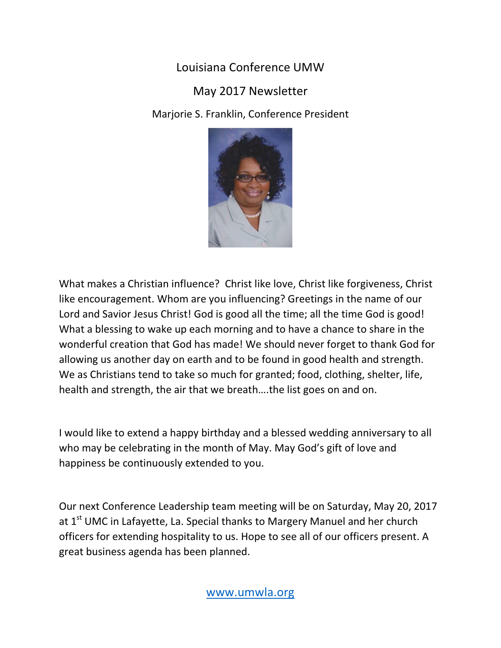Louisiana Conference UMW

## May 2017 Newsletter

Marjorie S. Franklin, Conference President



What makes a Christian influence? Christ like love, Christ like forgiveness, Christ like encouragement. Whom are you influencing? Greetings in the name of our Lord and Savior Jesus Christ! God is good all the time; all the time God is good! What a blessing to wake up each morning and to have a chance to share in the wonderful creation that God has made! We should never forget to thank God for allowing us another day on earth and to be found in good health and strength. We as Christians tend to take so much for granted; food, clothing, shelter, life, health and strength, the air that we breath….the list goes on and on.

I would like to extend a happy birthday and a blessed wedding anniversary to all who may be celebrating in the month of May. May God's gift of love and happiness be continuously extended to you.

Our next Conference Leadership team meeting will be on Saturday, May 20, 2017 at 1<sup>st</sup> UMC in Lafayette, La. Special thanks to Margery Manuel and her church officers for extending hospitality to us. Hope to see all of our officers present. A great business agenda has been planned.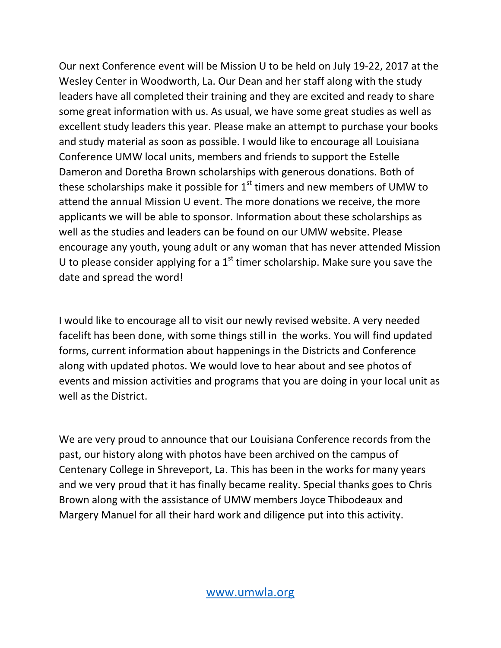Our next Conference event will be Mission U to be held on July 19-22, 2017 at the Wesley Center in Woodworth, La. Our Dean and her staff along with the study leaders have all completed their training and they are excited and ready to share some great information with us. As usual, we have some great studies as well as excellent study leaders this year. Please make an attempt to purchase your books and study material as soon as possible. I would like to encourage all Louisiana Conference UMW local units, members and friends to support the Estelle Dameron and Doretha Brown scholarships with generous donations. Both of these scholarships make it possible for  $1<sup>st</sup>$  timers and new members of UMW to attend the annual Mission U event. The more donations we receive, the more applicants we will be able to sponsor. Information about these scholarships as well as the studies and leaders can be found on our UMW website. Please encourage any youth, young adult or any woman that has never attended Mission U to please consider applying for a  $1<sup>st</sup>$  timer scholarship. Make sure you save the date and spread the word!

I would like to encourage all to visit our newly revised website. A very needed facelift has been done, with some things still in the works. You will find updated forms, current information about happenings in the Districts and Conference along with updated photos. We would love to hear about and see photos of events and mission activities and programs that you are doing in your local unit as well as the District.

We are very proud to announce that our Louisiana Conference records from the past, our history along with photos have been archived on the campus of Centenary College in Shreveport, La. This has been in the works for many years and we very proud that it has finally became reality. Special thanks goes to Chris Brown along with the assistance of UMW members Joyce Thibodeaux and Margery Manuel for all their hard work and diligence put into this activity.